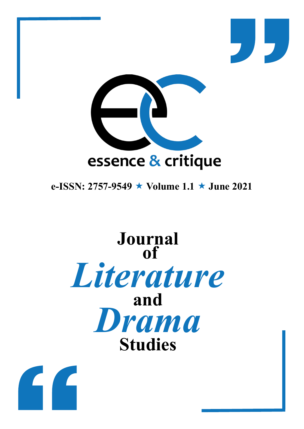

**e-ISSN: 2757-9549 Volume 1.1 June 2021**

# **Journal**  $\overline{\mathbf{0}}$ **f** *Literature* **and**  *Drama* **Studies**

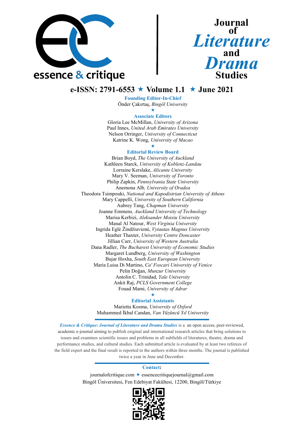

### **Journal**  $\overline{\textbf{of}}$ *Literature* **and**  *Drama* **Studies**

### **e-ISSN: 2791-6553 Volume 1.1 June 2021**

**Founding Editor-In-Chief** Önder Çakırtaş, *Bingöl University*

 $\star$ **Associate Editors**

Gloria Lee McMillan, *University of Arizona* Paul Innes, *United Arab Emirates University* Nelson Orringer, *University of Connecticut* Katrine K. Wong, *University of Macao*

#### $\star$ **Editorial Review Board**

Brian Boyd, *The University of Auckland* Kathleen Starck, *University of Koblenz-Landau* Lorraine Kerslake, *Alicante University* Mary V. Seeman, *University of Toronto* Philip Zapkin, *Pennsylvania State University* Anemona Alb*, University of Oradea* Theodora Tsimpouki, *National and Kapodistrian University of Athens* Mary Cappelli, *University of Southern California* Aubrey Tang, *Chapman University* Joanne Emmens. *Auckland University of Technology* Marisa Kerbizi, *Aleksander Moisiu University* Manal Al Natour, *West Virginia University* Ingrida Eglė Žindžiuvienė, *Vytautas Magnus University* Heather Thaxter, *University Centre Doncaster* Jillian Curr, *University of Western Australia* Dana Radler, *The Bucharest University of Economic Studies* Margaret Lundberg, *University of Washington* Bujar Hoxha, *South East European University* Maria Luisa Di Martino, *Ca' Foscari University of Venice* Pelin Doğan, *Munzur University* Antolin C. Trinidad, *Yale University* Ankit Raj, *PCLS Government College* Fouad Mami, *University of Adrar*

#### $\star$ **Editorial Assistants**

Marietta Kosma, *University of Oxford* Muhammed İkbal Candan, *Van Yüzüncü Yıl University*

*Essence & Critique: Journal of Literature and Drama Studies* is a an open access, peer-reviewed, academic e-journal aiming to publish original and international research articles that bring solutions to issues and examines scientific issues and problems in all subfields of literatures, theatre, drama and performance studies, and cultural studies. Each submitted article is evaluated by at least two referees of the field expert and the final result is reported to the authors within three months. The journal is published twice a year in June and December.

#### **Contact:**

journalofcritique.com  $\star$  essencecritiquejournal@gmail.com Bingöl Üniversitesi, Fen Edebiyat Fakültesi, 12200, Bingöl/Türkiye

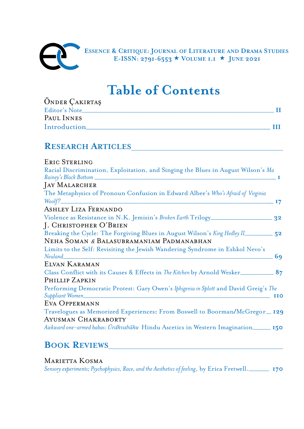

## **Table of Contents**

| ONDER CAKIRTAŞ |  |
|----------------|--|
| Editor's Note_ |  |
| PAUL INNES     |  |
| Introduction   |  |

### **RESEARCH ARTICLES**

| <b>ERIC STERLING</b>                                                                                         |            |
|--------------------------------------------------------------------------------------------------------------|------------|
| Racial Discrimination, Exploitation, and Singing the Blues in August Wilson's Ma<br><b>The Contract of T</b> |            |
| <b>JAY MALARCHER</b>                                                                                         |            |
| The Metaphysics of Pronoun Confusion in Edward Albee's Who's Afraid of Virginia                              |            |
|                                                                                                              |            |
| <b>ASHLEY LIZA FERNANDO</b>                                                                                  |            |
|                                                                                                              |            |
| J. CHRISTOPHER O'BRIEN                                                                                       |            |
| Breaking the Cycle: The Forgiving Blues in August Wilson's King Hedley II_________ 52                        |            |
| NEHA SOMAN & BALASUBRAMANIAM PADMANABHAN                                                                     |            |
| Limits to the Self: Revisiting the Jewish Wandering Syndrome in Eshkol Nevo's<br>Neuland_                    | 69         |
| ELVAN KARAMAN                                                                                                |            |
| Class Conflict with its Causes & Effects in The Kitchen by Arnold Wesker                                     |            |
| PHILLIP ZAPKIN                                                                                               |            |
| Performing Democratic Protest: Gary Owen's Iphigenia in Splott and David Greig's The                         | <b>IIO</b> |
| EVA OPPERMANN                                                                                                |            |
| Travelogues as Memorized Experiences: From Boswell to Boorman/McGregor_129                                   |            |
| <b>AYUSMAN CHAKRABORTY</b>                                                                                   |            |
| Awkward one-armed babas: Urdhvabahu Hindu Ascetics in Western Imagination______ 150                          |            |

### **BOOK REVIEWS**

### Marietta Kosma

*Sensory experiments; Psychophysics, Race, and the Aesthetics of feeling*, by Erica Fretwell.\_\_\_\_\_\_\_\_ **170**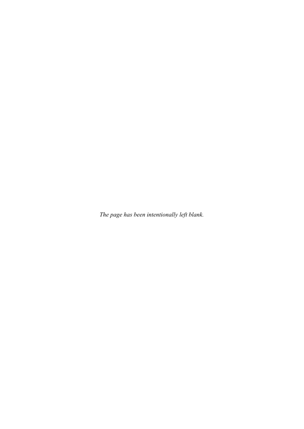*The page has been intentionally left blank.*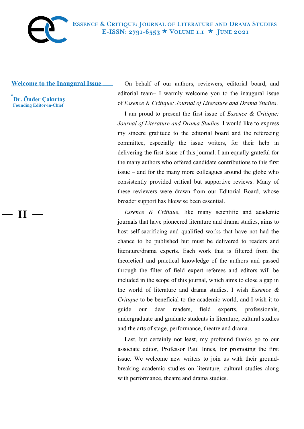

### **Welcome to the Inaugural Issue**

**\* Dr. Önder Çakırtaş Founding Editor-in-Chief**

**II**

On behalf of our authors, reviewers, editorial board, and editorial team– I warmly welcome you to the inaugural issue of *Essence & Critique: Journal of Literature and Drama Studies*.

I am proud to present the first issue of *Essence & Critique: Journal of Literature and Drama Studies*. I would like to express my sincere gratitude to the editorial board and the refereeing committee, especially the issue writers, for their help in delivering the first issue of this journal. I am equally grateful for the many authors who offered candidate contributions to this first issue – and for the many more colleagues around the globe who consistently provided critical but supportive reviews. Many of these reviewers were drawn from our Editorial Board, whose broader support has likewise been essential.

*Essence & Critique*, like many scientific and academic journals that have pioneered literature and drama studies, aims to host self-sacrificing and qualified works that have not had the chance to be published but must be delivered to readers and literature/drama experts. Each work that is filtered from the theoretical and practical knowledge of the authors and passed through the filter of field expert referees and editors will be included in the scope of this journal, which aims to close a gap in the world of literature and drama studies. I wish *Essence & Critique* to be beneficial to the academic world, and I wish it to guide our dear readers, field experts, professionals, undergraduate and graduate students in literature, cultural studies and the arts of stage, performance, theatre and drama.

Last, but certainly not least, my profound thanks go to our associate editor, Professor Paul Innes, for promoting the first issue. We welcome new writers to join us with their groundbreaking academic studies on literature, cultural studies along with performance, theatre and drama studies.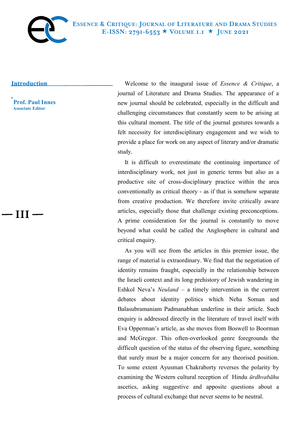#### **Introduction**

**\* Prof. Paul Innes Associate Editor**

**III**

Welcome to the inaugural issue of *Essence & Critique*, a journal of Literature and Drama Studies. The appearance of a new journal should be celebrated, especially in the difficult and challenging circumstances that constantly seem to be arising at this cultural moment. The title of the journal gestures towards a felt necessity for interdisciplinary engagement and we wish to provide a place for work on any aspect of literary and/or dramatic study.

It is difficult to overestimate the continuing importance of interdisciplinary work, not just in generic terms but also as a productive site of cross-disciplinary practice within the area conventionally as critical theory - as if that is somehow separate from creative production. We therefore invite critically aware articles, especially those that challenge existing preconceptions. A prime consideration for the journal is constantly to move beyond what could be called the Anglosphere in cultural and critical enquiry.

As you will see from the articles in this premier issue, the range of material is extraordinary. We find that the negotiation of identity remains fraught, especially in the relationship between the Israeli context and its long prehistory of Jewish wandering in Eshkol Neva's *Neuland* – a timely intervention in the current debates about identity politics which Neha Soman and Balasubramaniam Padmanabhan underline in their article. Such enquiry is addressed directly in the literature of travel itself with Eva Opperman's article, as she moves from Boswell to Boorman and McGregor. This often-overlooked genre foregrounds the difficult question of the status of the observing figure, something that surely must be a major concern for any theorised position. To some extent Ayusman Chakraborty reverses the polarity by examining the Western cultural reception of Hindu *ūrdhvabāhu*  ascetics, asking suggestive and apposite questions about a process of cultural exchange that never seems to be neutral.